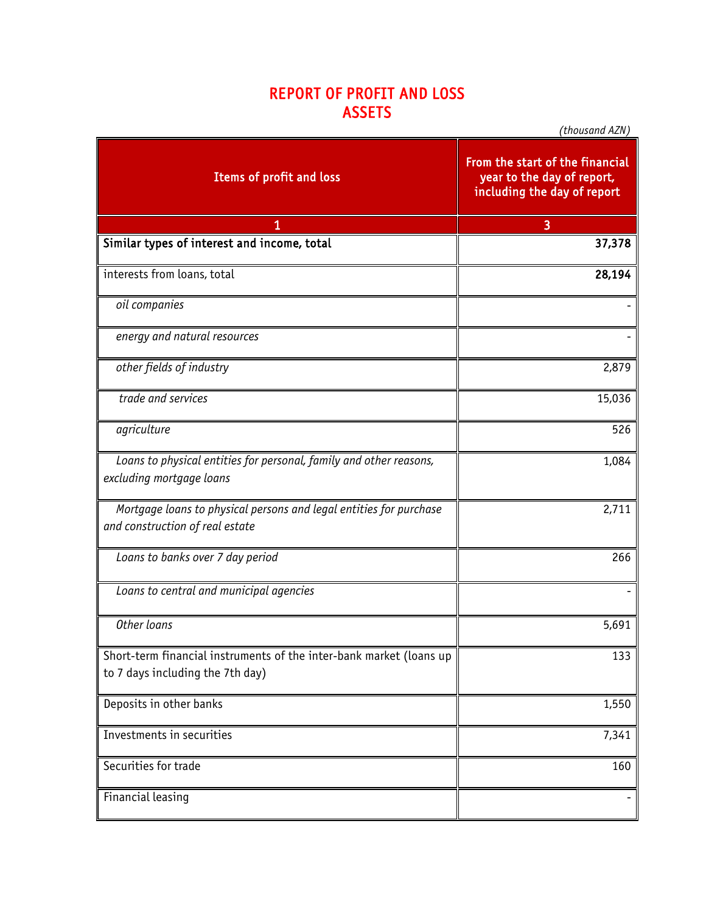## REPORT OF PROFIT AND LOSS ASSETS

| Items of profit and loss                                                                                | From the start of the financial<br>year to the day of report,<br>including the day of report |
|---------------------------------------------------------------------------------------------------------|----------------------------------------------------------------------------------------------|
| 1                                                                                                       | 3                                                                                            |
| Similar types of interest and income, total                                                             | 37,378                                                                                       |
| interests from loans, total                                                                             | 28,194                                                                                       |
| oil companies                                                                                           |                                                                                              |
| energy and natural resources                                                                            |                                                                                              |
| other fields of industry                                                                                | 2,879                                                                                        |
| trade and services                                                                                      | 15,036                                                                                       |
| agriculture                                                                                             | 526                                                                                          |
| Loans to physical entities for personal, family and other reasons,<br>excluding mortgage loans          | 1,084                                                                                        |
| Mortgage loans to physical persons and legal entities for purchase<br>and construction of real estate   | 2,711                                                                                        |
| Loans to banks over 7 day period                                                                        | 266                                                                                          |
| Loans to central and municipal agencies                                                                 |                                                                                              |
| Other loans                                                                                             | 5,691                                                                                        |
| Short-term financial instruments of the inter-bank market (loans up<br>to 7 days including the 7th day) | 133                                                                                          |
| Deposits in other banks                                                                                 | 1,550                                                                                        |
| Investments in securities                                                                               | 7,341                                                                                        |
| Securities for trade                                                                                    | 160                                                                                          |
| Financial leasing                                                                                       |                                                                                              |

*(thousand AZN)*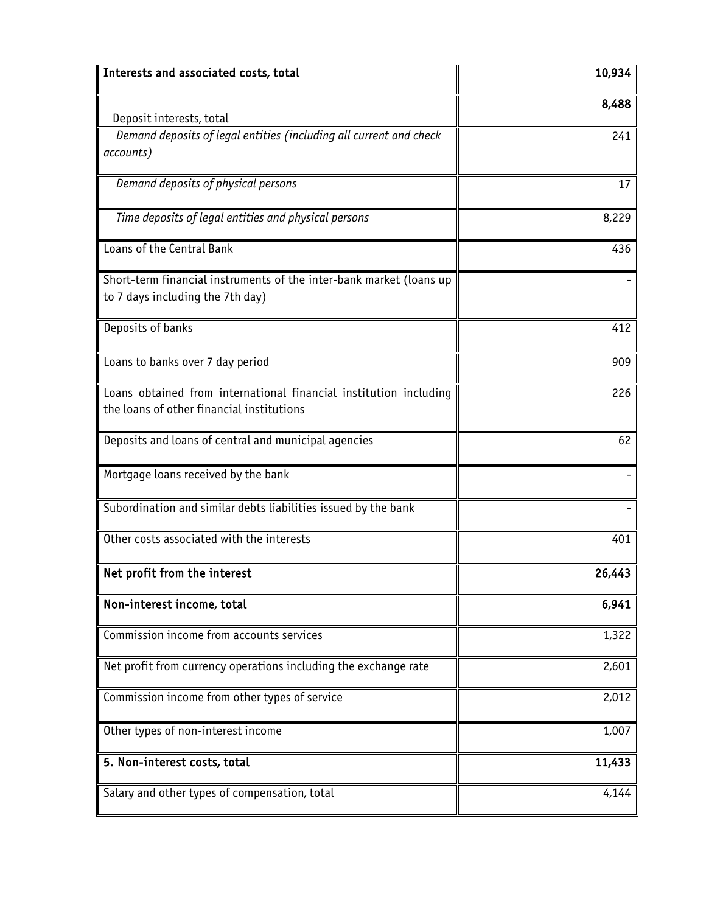| Interests and associated costs, total                                                                          | 10,934 |
|----------------------------------------------------------------------------------------------------------------|--------|
|                                                                                                                | 8,488  |
| Deposit interests, total<br>Demand deposits of legal entities (including all current and check<br>accounts)    | 241    |
| Demand deposits of physical persons                                                                            | 17     |
| Time deposits of legal entities and physical persons                                                           | 8,229  |
| Loans of the Central Bank                                                                                      | 436    |
| Short-term financial instruments of the inter-bank market (loans up<br>to 7 days including the 7th day)        |        |
| Deposits of banks                                                                                              | 412    |
| Loans to banks over 7 day period                                                                               | 909    |
| Loans obtained from international financial institution including<br>the loans of other financial institutions | 226    |
| Deposits and loans of central and municipal agencies                                                           | 62     |
| Mortgage loans received by the bank                                                                            |        |
| Subordination and similar debts liabilities issued by the bank                                                 |        |
| Other costs associated with the interests                                                                      | 401    |
| Net profit from the interest                                                                                   | 26,443 |
| Non-interest income, total                                                                                     | 6,941  |
| Commission income from accounts services                                                                       | 1,322  |
| Net profit from currency operations including the exchange rate                                                | 2,601  |
| Commission income from other types of service                                                                  | 2,012  |
| Other types of non-interest income                                                                             | 1,007  |
| 5. Non-interest costs, total                                                                                   | 11,433 |
| Salary and other types of compensation, total                                                                  | 4,144  |